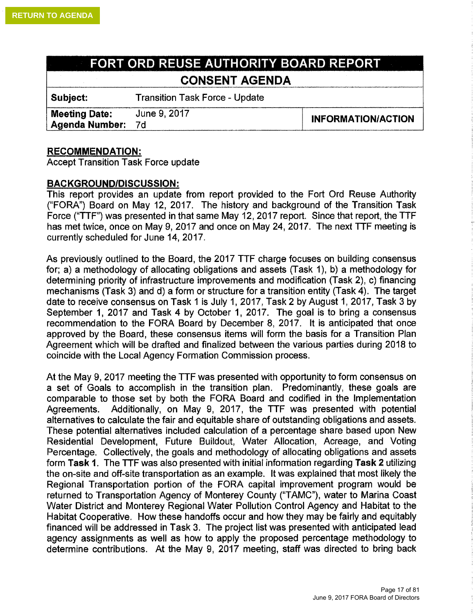## **FORT ORD REUSE AUTHORITY BOARD REPORT CONSENT AGENDA**

**Subject:** Transition Task Force - Update

**Meeting Date:** June 9, 2017<br> **Agenda Number:** 7d

## **RECOMMENDATION:**

Accept Transition Task Force update

## **BACKGROUND/DISCUSSION:**

This report provides an update from report provided to the Fort Ord Reuse Authority ("FORA") Board on May 12, 2017. The history and background of the Transition Task Force ("TTF") was presented in that same May 12, 2017 report. Since that report, the TTF has met twice, once on May 9, 2017 and once on May 24, 2017. The next TTF meeting is currently scheduled for June 14, 2017.

As previously outlined to the Board, the 2017 TTF charge focuses on building consensus for; a) a methodology of allocating obligations and assets (Task 1), b) a methodology for determining priority of infrastructure improvements and modification (Task 2), c) financing mechanisms (Task 3) and d) a form or structure for a transition entity (Task 4). The target date to receive consensus on Task 1 is July 1, 2017, Task 2 by August 1, 2017, Task 3 by September 1, 2017 and Task 4 by October 1, 2017. The goal is to bring a consensus recommendation to the FORA Board by December 8, 2017. It is anticipated that once approved by the Board, these consensus items will form the basis for a Transition Plan Agreement which will be drafted and finalized between the various parties during 2018 to coincide with the Local Agency Formation Commission process.

At the May 9, 2017 meeting the TTF was presented with opportunity to form consensus on a set of Goals to accomplish in the transition plan. Predominantly, these goals are comparable to those set by both the FORA Board and codified in the Implementation Agreements. Additionally, on May 9, 2017, the TTF was presented with potential alternatives to calculate the fair and equitable share of outstanding obligations and assets. These potential alternatives included calculation of a percentage share based upon New Residential Development, Future Buildout, Water Allocation, Acreage, and Voting Percentage. Collectively, the goals and methodology of allocating obligations and assets form **Task 1.** The TTF was also presented with initial information regarding **Task 2** utilizing the on-site and off-site transportation as an example. It was explained that most likely the Regional Transportation portion of the FORA capital improvement program would be returned to Transportation Agency of Monterey County ("TAMC"), water to Marina Coast Water District and Monterey Regional Water Pollution Control Agency and Habitat to the Habitat Cooperative. How these handoffs occur and how they may be fairly and equitably financed will be addressed in Task 3. The project list was presented with anticipated lead agency assignments as well as how to apply the proposed percentage methodology to determine contributions. At the May 9, 2017 meeting, staff was directed to bring back